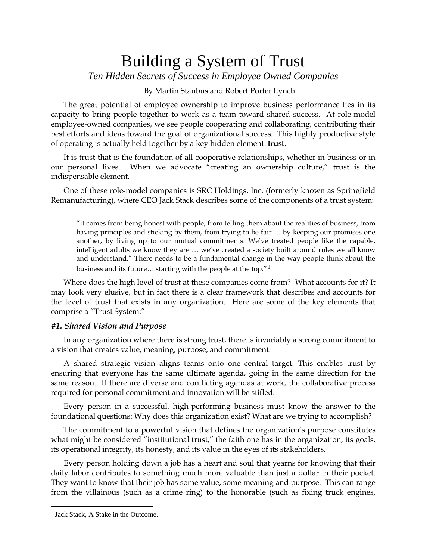# Building a System of Trust

*Ten Hidden Secrets of Success in Employee Owned Companies*

By Martin Staubus and Robert Porter Lynch

The great potential of employee ownership to improve business performance lies in its capacity to bring people together to work as a team toward shared success. At role-model employee-owned companies, we see people cooperating and collaborating, contributing their best efforts and ideas toward the goal of organizational success. This highly productive style of operating is actually held together by a key hidden element: **trust**.

It is trust that is the foundation of all cooperative relationships, whether in business or in our personal lives. When we advocate "creating an ownership culture," trust is the indispensable element.

One of these role-model companies is SRC Holdings, Inc. (formerly known as Springfield Remanufacturing), where CEO Jack Stack describes some of the components of a trust system:

"It comes from being honest with people, from telling them about the realities of business, from having principles and sticking by them, from trying to be fair … by keeping our promises one another, by living up to our mutual commitments. We've treated people like the capable, intelligent adults we know they are … we've created a society built around rules we all know and understand." There needs to be a fundamental change in the way people think about the business and its future….starting with the people at the top."[1](#page-0-0)

Where does the high level of trust at these companies come from? What accounts for it? It may look very elusive, but in fact there is a clear framework that describes and accounts for the level of trust that exists in any organization. Here are some of the key elements that comprise a "Trust System:"

# *#1. Shared Vision and Purpose*

In any organization where there is strong trust, there is invariably a strong commitment to a vision that creates value, meaning, purpose, and commitment.

A shared strategic vision aligns teams onto one central target. This enables trust by ensuring that everyone has the same ultimate agenda, going in the same direction for the same reason. If there are diverse and conflicting agendas at work, the collaborative process required for personal commitment and innovation will be stifled.

Every person in a successful, high-performing business must know the answer to the foundational questions: Why does this organization exist? What are we trying to accomplish?

The commitment to a powerful vision that defines the organization's purpose constitutes what might be considered "institutional trust," the faith one has in the organization, its goals, its operational integrity, its honesty, and its value in the eyes of its stakeholders.

Every person holding down a job has a heart and soul that yearns for knowing that their daily labor contributes to something much more valuable than just a dollar in their pocket. They want to know that their job has some value, some meaning and purpose. This can range from the villainous (such as a crime ring) to the honorable (such as fixing truck engines,

<span id="page-0-0"></span> $<sup>1</sup>$  Jack Stack, A Stake in the Outcome.</sup>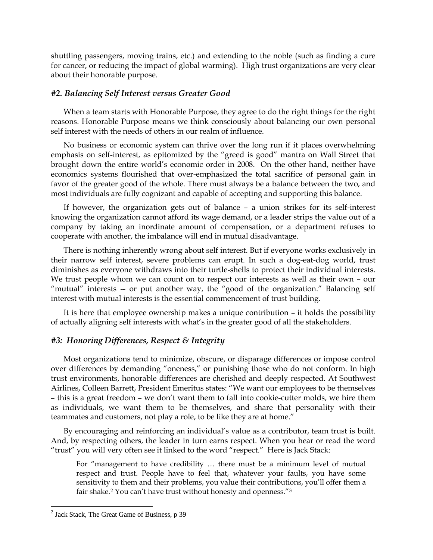shuttling passengers, moving trains, etc.) and extending to the noble (such as finding a cure for cancer, or reducing the impact of global warming). High trust organizations are very clear about their honorable purpose.

# *#2. Balancing Self Interest versus Greater Good*

When a team starts with Honorable Purpose, they agree to do the right things for the right reasons. Honorable Purpose means we think consciously about balancing our own personal self interest with the needs of others in our realm of influence.

No business or economic system can thrive over the long run if it places overwhelming emphasis on self-interest, as epitomized by the "greed is good" mantra on Wall Street that brought down the entire world's economic order in 2008. On the other hand, neither have economics systems flourished that over-emphasized the total sacrifice of personal gain in favor of the greater good of the whole. There must always be a balance between the two, and most individuals are fully cognizant and capable of accepting and supporting this balance.

If however, the organization gets out of balance – a union strikes for its self-interest knowing the organization cannot afford its wage demand, or a leader strips the value out of a company by taking an inordinate amount of compensation, or a department refuses to cooperate with another, the imbalance will end in mutual disadvantage.

There is nothing inherently wrong about self interest. But if everyone works exclusively in their narrow self interest, severe problems can erupt. In such a dog-eat-dog world, trust diminishes as everyone withdraws into their turtle-shells to protect their individual interests. We trust people whom we can count on to respect our interests as well as their own – our "mutual" interests -- or put another way, the "good of the organization." Balancing self interest with mutual interests is the essential commencement of trust building.

It is here that employee ownership makes a unique contribution – it holds the possibility of actually aligning self interests with what's in the greater good of all the stakeholders.

# *#3: Honoring Differences, Respect & Integrity*

Most organizations tend to minimize, obscure, or disparage differences or impose control over differences by demanding "oneness," or punishing those who do not conform. In high trust environments, honorable differences are cherished and deeply respected. At Southwest Airlines, Colleen Barrett, President Emeritus states: "We want our employees to be themselves – this is a great freedom – we don't want them to fall into cookie-cutter molds, we hire them as individuals, we want them to be themselves, and share that personality with their teammates and customers, not play a role, to be like they are at home."

By encouraging and reinforcing an individual's value as a contributor, team trust is built. And, by respecting others, the leader in turn earns respect. When you hear or read the word "trust" you will very often see it linked to the word "respect." Here is Jack Stack:

For "management to have credibility … there must be a minimum level of mutual respect and trust. People have to feel that, whatever your faults, you have some sensitivity to them and their problems, you value their contributions, you'll offer them a fair shake.<sup>2</sup> You can't have trust without honesty and openness."<sup>[3](#page-1-0)</sup>

<span id="page-1-0"></span><sup>&</sup>lt;sup>2</sup> Jack Stack, The Great Game of Business, p 39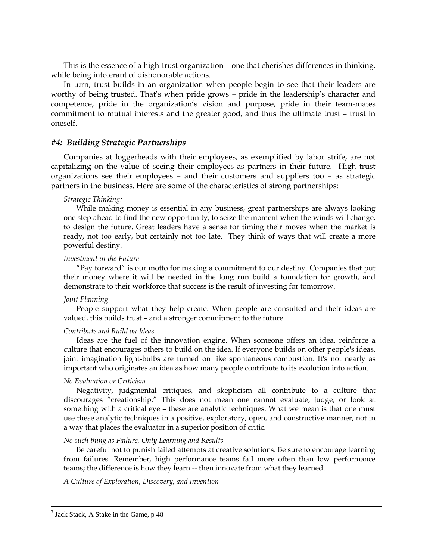This is the essence of a high-trust organization – one that cherishes differences in thinking, while being intolerant of dishonorable actions.

In turn, trust builds in an organization when people begin to see that their leaders are worthy of being trusted. That's when pride grows – pride in the leadership's character and competence, pride in the organization's vision and purpose, pride in their team-mates commitment to mutual interests and the greater good, and thus the ultimate trust – trust in oneself.

# *#4: Building Strategic Partnerships*

Companies at loggerheads with their employees, as exemplified by labor strife, are not capitalizing on the value of seeing their employees as partners in their future. High trust organizations see their employees – and their customers and suppliers too – as strategic partners in the business. Here are some of the characteristics of strong partnerships:

#### *Strategic Thinking:*

While making money is essential in any business, great partnerships are always looking one step ahead to find the new opportunity, to seize the moment when the winds will change, to design the future. Great leaders have a sense for timing their moves when the market is ready, not too early, but certainly not too late. They think of ways that will create a more powerful destiny.

# *Investment in the Future*

"Pay forward" is our motto for making a commitment to our destiny. Companies that put their money where it will be needed in the long run build a foundation for growth, and demonstrate to their workforce that success is the result of investing for tomorrow.

## *Joint Planning*

People support what they help create. When people are consulted and their ideas are valued, this builds trust – and a stronger commitment to the future.

# *Contribute and Build on Ideas*

Ideas are the fuel of the innovation engine. When someone offers an idea, reinforce a culture that encourages others to build on the idea. If everyone builds on other people's ideas, joint imagination light-bulbs are turned on like spontaneous combustion. It's not nearly as important who originates an idea as how many people contribute to its evolution into action.

#### *No Evaluation or Criticism*

Negativity, judgmental critiques, and skepticism all contribute to a culture that discourages "creationship." This does not mean one cannot evaluate, judge, or look at something with a critical eye – these are analytic techniques. What we mean is that one must use these analytic techniques in a positive, exploratory, open, and constructive manner, not in a way that places the evaluator in a superior position of critic.

#### *No such thing as Failure, Only Learning and Results*

Be careful not to punish failed attempts at creative solutions. Be sure to encourage learning from failures. Remember, high performance teams fail more often than low performance teams; the difference is how they learn -- then innovate from what they learned.

*A Culture of Exploration, Discovery, and Invention*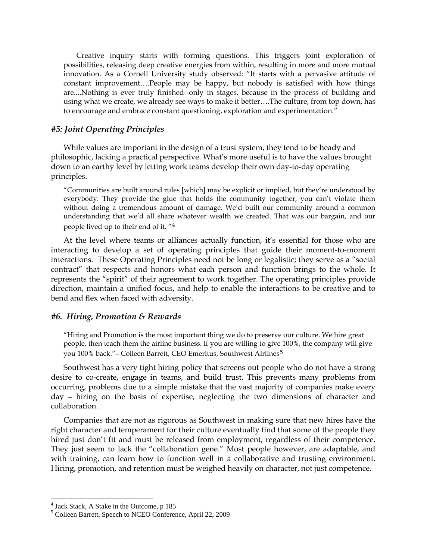Creative inquiry starts with forming questions. This triggers joint exploration of possibilities, releasing deep creative energies from within, resulting in more and more mutual innovation. As a Cornell University study observed: "It starts with a pervasive attitude of constant improvement….People may be happy, but nobody is satisfied with how things are....Nothing is ever truly finished--only in stages, because in the process of building and using what we create, we already see ways to make it better….The culture, from top down, has to encourage and embrace constant questioning, exploration and experimentation."

# *#5: Joint Operating Principles*

While values are important in the design of a trust system, they tend to be heady and philosophic, lacking a practical perspective. What's more useful is to have the values brought down to an earthy level by letting work teams develop their own day-to-day operating principles.

"Communities are built around rules [which] may be explicit or implied, but they're understood by everybody. They provide the glue that holds the community together, you can't violate them without doing a tremendous amount of damage. We'd built our community around a common understanding that we'd all share whatever wealth we created. That was our bargain, and our people lived up to their end of it. "[4](#page-3-0)

At the level where teams or alliances actually function, it's essential for those who are interacting to develop a set of operating principles that guide their moment-to-moment interactions. These Operating Principles need not be long or legalistic; they serve as a "social contract" that respects and honors what each person and function brings to the whole. It represents the "spirit" of their agreement to work together. The operating principles provide direction, maintain a unified focus, and help to enable the interactions to be creative and to bend and flex when faced with adversity.

## *#6. Hiring, Promotion & Rewards*

"Hiring and Promotion is the most important thing we do to preserve our culture. We hire great people, then teach them the airline business. If you are willing to give 100%, the company will give you 100% back." – Colleen Barrett, CEO Emeritus, Southwest Airlines<sup>[5](#page-3-1)</sup>

Southwest has a very tight hiring policy that screens out people who do not have a strong desire to co-create, engage in teams, and build trust. This prevents many problems from occurring, problems due to a simple mistake that the vast majority of companies make every day – hiring on the basis of expertise, neglecting the two dimensions of character and collaboration.

Companies that are not as rigorous as Southwest in making sure that new hires have the right character and temperament for their culture eventually find that some of the people they hired just don't fit and must be released from employment, regardless of their competence. They just seem to lack the "collaboration gene." Most people however, are adaptable, and with training, can learn how to function well in a collaborative and trusting environment. Hiring, promotion, and retention must be weighed heavily on character, not just competence.

<span id="page-3-0"></span> <sup>4</sup> Jack Stack, A Stake in the Outcome, p 185

<span id="page-3-1"></span><sup>5</sup> Colleen Barrett, Speech to NCEO Conference, April 22, 2009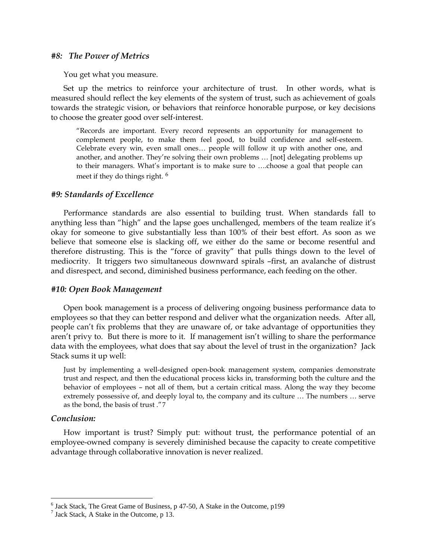## *#8: The Power of Metrics*

You get what you measure.

Set up the metrics to reinforce your architecture of trust. In other words, what is measured should reflect the key elements of the system of trust, such as achievement of goals towards the strategic vision, or behaviors that reinforce honorable purpose, or key decisions to choose the greater good over self-interest.

"Records are important. Every record represents an opportunity for management to complement people, to make them feel good, to build confidence and self-esteem. Celebrate every win, even small ones… people will follow it up with another one, and another, and another. They're solving their own problems … [not] delegating problems up to their managers. What's important is to make sure to ….choose a goal that people can meet if they do things right. [6](#page-4-0)

# *#9: Standards of Excellence*

Performance standards are also essential to building trust. When standards fall to anything less than "high" and the lapse goes unchallenged, members of the team realize it's okay for someone to give substantially less than 100% of their best effort. As soon as we believe that someone else is slacking off, we either do the same or become resentful and therefore distrusting. This is the "force of gravity" that pulls things down to the level of mediocrity. It triggers two simultaneous downward spirals –first, an avalanche of distrust and disrespect, and second, diminished business performance, each feeding on the other.

#### *#10: Open Book Management*

Open book management is a process of delivering ongoing business performance data to employees so that they can better respond and deliver what the organization needs. After all, people can't fix problems that they are unaware of, or take advantage of opportunities they aren't privy to. But there is more to it. If management isn't willing to share the performance data with the employees, what does that say about the level of trust in the organization? Jack Stack sums it up well:

Just by implementing a well-designed open-book management system, companies demonstrate trust and respect, and then the educational process kicks in, transforming both the culture and the behavior of employees – not all of them, but a certain critical mass. Along the way they become extremely possessive of, and deeply loyal to, the company and its culture … The numbers … serve as the bond, the basis of trust ."[7](#page-4-1)

# *Conclusion:*

How important is trust? Simply put: without trust, the performance potential of an employee-owned company is severely diminished because the capacity to create competitive advantage through collaborative innovation is never realized.

<span id="page-4-0"></span><sup>&</sup>lt;sup>6</sup> Jack Stack, The Great Game of Business, p 47-50, A Stake in the Outcome, p199<sup>7</sup> Jack Stack, A Stake in the Outcome, p 13.

<span id="page-4-1"></span>